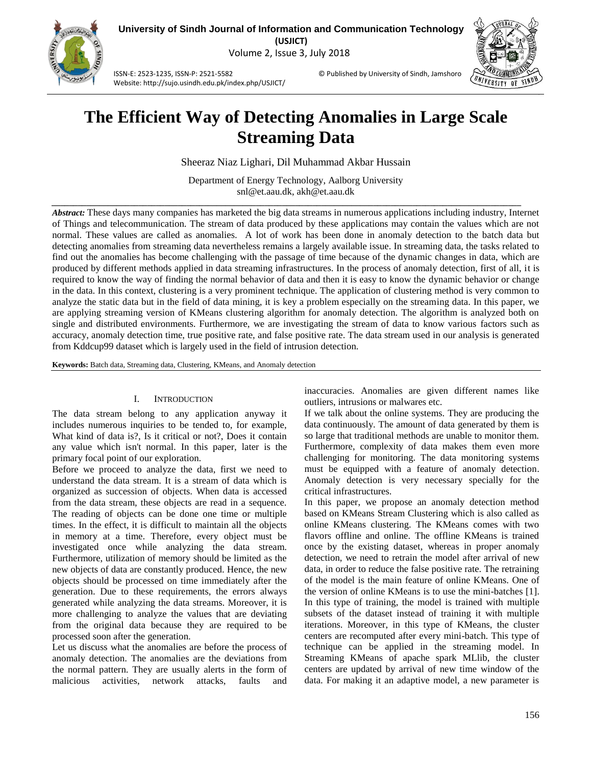

**University of Sindh Journal of Information and Communication Technology (USJICT)** Volume 2, Issue 3, July 2018

ISSN-E: 2523-1235, ISSN-P: 2521-5582 © Published by University of Sindh, Jamshoro Website: http://sujo.usindh.edu.pk/index.php/USJICT/



# **The Efficient Way of Detecting Anomalies in Large Scale Streaming Data**

Sheeraz Niaz Lighari, Dil Muhammad Akbar Hussain

Department of Energy Technology, Aalborg University [snl@et.aau.dk,](mailto:snl@et.aau.dk) akh@et.aau.dk

*\_\_\_\_\_\_\_\_\_\_\_\_\_\_\_\_\_\_\_\_\_\_\_\_\_\_\_\_\_\_\_\_\_\_\_\_\_\_\_\_\_\_\_\_\_\_\_\_\_\_\_\_\_\_\_\_\_\_\_\_\_\_\_\_\_\_\_\_\_\_\_\_\_\_\_\_\_\_\_\_\_\_\_\_\_\_\_\_\_\_\_\_\_\_\_\_\_\_\_\_\_\_\_\_\_\_\_\_*

*Abstract:* These days many companies has marketed the big data streams in numerous applications including industry, Internet of Things and telecommunication. The stream of data produced by these applications may contain the values which are not normal. These values are called as anomalies. A lot of work has been done in anomaly detection to the batch data but detecting anomalies from streaming data nevertheless remains a largely available issue. In streaming data, the tasks related to find out the anomalies has become challenging with the passage of time because of the dynamic changes in data, which are produced by different methods applied in data streaming infrastructures. In the process of anomaly detection, first of all, it is required to know the way of finding the normal behavior of data and then it is easy to know the dynamic behavior or change in the data. In this context, clustering is a very prominent technique. The application of clustering method is very common to analyze the static data but in the field of data mining, it is key a problem especially on the streaming data. In this paper, we are applying streaming version of KMeans clustering algorithm for anomaly detection. The algorithm is analyzed both on single and distributed environments. Furthermore, we are investigating the stream of data to know various factors such as accuracy, anomaly detection time, true positive rate, and false positive rate. The data stream used in our analysis is generated from Kddcup99 dataset which is largely used in the field of intrusion detection.

**Keywords:** Batch data, Streaming data, Clustering, KMeans, and Anomaly detection

# I. INTRODUCTION

The data stream belong to any application anyway it includes numerous inquiries to be tended to, for example, What kind of data is?, Is it critical or not?, Does it contain any value which isn't normal. In this paper, later is the primary focal point of our exploration.

Before we proceed to analyze the data, first we need to understand the data stream. It is a stream of data which is organized as succession of objects. When data is accessed from the data stream, these objects are read in a sequence. The reading of objects can be done one time or multiple times. In the effect, it is difficult to maintain all the objects in memory at a time. Therefore, every object must be investigated once while analyzing the data stream. Furthermore, utilization of memory should be limited as the new objects of data are constantly produced. Hence, the new objects should be processed on time immediately after the generation. Due to these requirements, the errors always generated while analyzing the data streams. Moreover, it is more challenging to analyze the values that are deviating from the original data because they are required to be processed soon after the generation.

Let us discuss what the anomalies are before the process of anomaly detection. The anomalies are the deviations from the normal pattern. They are usually alerts in the form of malicious activities, network attacks, faults and

inaccuracies. Anomalies are given different names like outliers, intrusions or malwares etc.

If we talk about the online systems. They are producing the data continuously. The amount of data generated by them is so large that traditional methods are unable to monitor them. Furthermore, complexity of data makes them even more challenging for monitoring. The data monitoring systems must be equipped with a feature of anomaly detection. Anomaly detection is very necessary specially for the critical infrastructures.

In this paper, we propose an anomaly detection method based on KMeans Stream Clustering which is also called as online KMeans clustering. The KMeans comes with two flavors offline and online. The offline KMeans is trained once by the existing dataset, whereas in proper anomaly detection, we need to retrain the model after arrival of new data, in order to reduce the false positive rate. The retraining of the model is the main feature of online KMeans. One of the version of online KMeans is to use the mini-batches [1]. In this type of training, the model is trained with multiple subsets of the dataset instead of training it with multiple iterations. Moreover, in this type of KMeans, the cluster centers are recomputed after every mini-batch. This type of technique can be applied in the streaming model. In Streaming KMeans of apache spark MLlib, the cluster centers are updated by arrival of new time window of the data. For making it an adaptive model, a new parameter is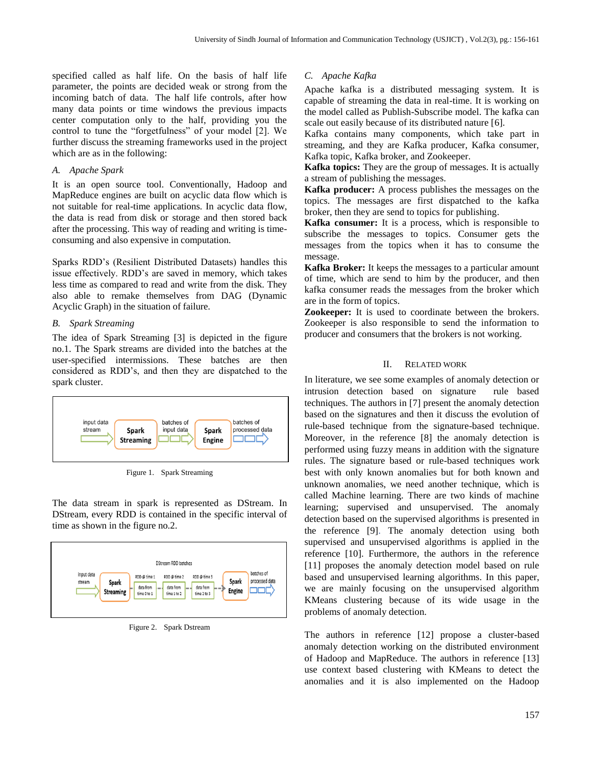specified called as half life. On the basis of half life parameter, the points are decided weak or strong from the incoming batch of data. The half life controls, after how many data points or time windows the previous impacts center computation only to the half, providing you the control to tune the "forgetfulness" of your model [2]. We further discuss the streaming frameworks used in the project which are as in the following:

### *A. Apache Spark*

It is an open source tool. Conventionally, Hadoop and MapReduce engines are built on acyclic data flow which is not suitable for real-time applications. In acyclic data flow, the data is read from disk or storage and then stored back after the processing. This way of reading and writing is timeconsuming and also expensive in computation.

Sparks RDD's (Resilient Distributed Datasets) handles this issue effectively. RDD's are saved in memory, which takes less time as compared to read and write from the disk. They also able to remake themselves from DAG (Dynamic Acyclic Graph) in the situation of failure.

## *B. Spark Streaming*

The idea of Spark Streaming [3] is depicted in the figure no.1. The Spark streams are divided into the batches at the user-specified intermissions. These batches are then considered as RDD's, and then they are dispatched to the spark cluster.



Figure 1. Spark Streaming

The data stream in spark is represented as DStream. In DStream, every RDD is contained in the specific interval of time as shown in the figure no.2.



Figure 2. Spark Dstream

# *C. Apache Kafka*

Apache kafka is a distributed messaging system. It is capable of streaming the data in real-time. It is working on the model called as Publish-Subscribe model. The kafka can scale out easily because of its distributed nature [6].

Kafka contains many components, which take part in streaming, and they are Kafka producer, Kafka consumer, Kafka topic, Kafka broker, and Zookeeper.

**Kafka topics:** They are the group of messages. It is actually a stream of publishing the messages.

**Kafka producer:** A process publishes the messages on the topics. The messages are first dispatched to the kafka broker, then they are send to topics for publishing.

**Kafka consumer:** It is a process, which is responsible to subscribe the messages to topics. Consumer gets the messages from the topics when it has to consume the message.

**Kafka Broker:** It keeps the messages to a particular amount of time, which are send to him by the producer, and then kafka consumer reads the messages from the broker which are in the form of topics.

**Zookeeper:** It is used to coordinate between the brokers. Zookeeper is also responsible to send the information to producer and consumers that the brokers is not working.

### II. RELATED WORK

In literature, we see some examples of anomaly detection or intrusion detection based on signature rule based techniques. The authors in [7] present the anomaly detection based on the signatures and then it discuss the evolution of rule-based technique from the signature-based technique. Moreover, in the reference [8] the anomaly detection is performed using fuzzy means in addition with the signature rules. The signature based or rule-based techniques work best with only known anomalies but for both known and unknown anomalies, we need another technique, which is called Machine learning. There are two kinds of machine learning; supervised and unsupervised. The anomaly detection based on the supervised algorithms is presented in the reference [9]. The anomaly detection using both supervised and unsupervised algorithms is applied in the reference [10]. Furthermore, the authors in the reference [11] proposes the anomaly detection model based on rule based and unsupervised learning algorithms. In this paper, we are mainly focusing on the unsupervised algorithm KMeans clustering because of its wide usage in the problems of anomaly detection.

The authors in reference [12] propose a cluster-based anomaly detection working on the distributed environment of Hadoop and MapReduce. The authors in reference [13] use context based clustering with KMeans to detect the anomalies and it is also implemented on the Hadoop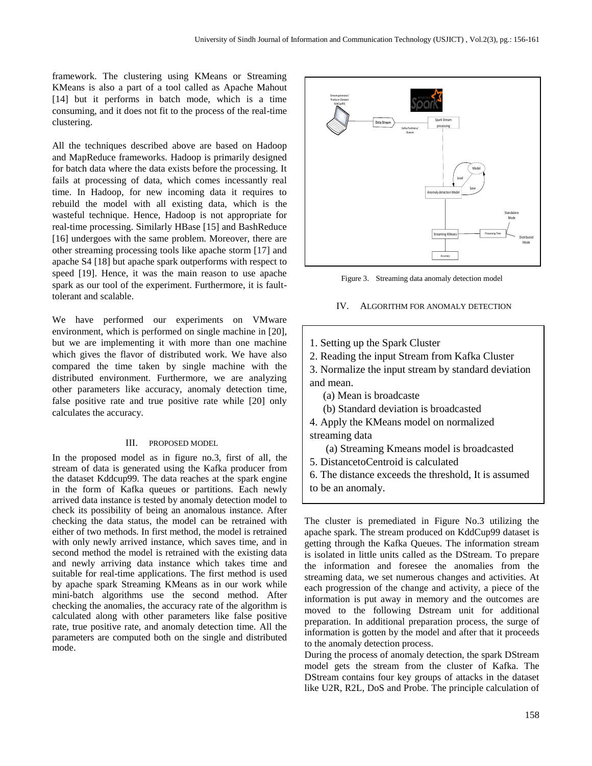framework. The clustering using KMeans or Streaming KMeans is also a part of a tool called as Apache Mahout [14] but it performs in batch mode, which is a time consuming, and it does not fit to the process of the real-time clustering.

All the techniques described above are based on Hadoop and MapReduce frameworks. Hadoop is primarily designed for batch data where the data exists before the processing. It fails at processing of data, which comes incessantly real time. In Hadoop, for new incoming data it requires to rebuild the model with all existing data, which is the wasteful technique. Hence, Hadoop is not appropriate for real-time processing. Similarly HBase [15] and BashReduce [16] undergoes with the same problem. Moreover, there are other streaming processing tools like apache storm [17] and apache S4 [18] but apache spark outperforms with respect to speed [19]. Hence, it was the main reason to use apache spark as our tool of the experiment. Furthermore, it is faulttolerant and scalable.

We have performed our experiments on VMware environment, which is performed on single machine in [20], but we are implementing it with more than one machine which gives the flavor of distributed work. We have also compared the time taken by single machine with the distributed environment. Furthermore, we are analyzing other parameters like accuracy, anomaly detection time, false positive rate and true positive rate while [20] only calculates the accuracy.

#### III. PROPOSED MODEL

In the proposed model as in figure no.3, first of all, the stream of data is generated using the Kafka producer from the dataset Kddcup99. The data reaches at the spark engine in the form of Kafka queues or partitions. Each newly arrived data instance is tested by anomaly detection model to check its possibility of being an anomalous instance. After checking the data status, the model can be retrained with either of two methods. In first method, the model is retrained with only newly arrived instance, which saves time, and in second method the model is retrained with the existing data and newly arriving data instance which takes time and suitable for real-time applications. The first method is used by apache spark Streaming KMeans as in our work while mini-batch algorithms use the second method. After checking the anomalies, the accuracy rate of the algorithm is calculated along with other parameters like false positive rate, true positive rate, and anomaly detection time. All the parameters are computed both on the single and distributed mode.



Figure 3. Streaming data anomaly detection model

### IV. ALGORITHM FOR ANOMALY DETECTION

- 1. Setting up the Spark Cluster
- 2. Reading the input Stream from Kafka Cluster

3. Normalize the input stream by standard deviation and mean.

(a) Mean is broadcaste

(b) Standard deviation is broadcasted

4. Apply the KMeans model on normalized streaming data

(a) Streaming Kmeans model is broadcasted

5. DistancetoCentroid is calculated

6. The distance exceeds the threshold, It is assumed to be an anomaly.

The cluster is premediated in Figure No.3 utilizing the apache spark. The stream produced on KddCup99 dataset is getting through the Kafka Queues. The information stream is isolated in little units called as the DStream. To prepare the information and foresee the anomalies from the streaming data, we set numerous changes and activities. At each progression of the change and activity, a piece of the information is put away in memory and the outcomes are moved to the following Dstream unit for additional preparation. In additional preparation process, the surge of information is gotten by the model and after that it proceeds to the anomaly detection process.

During the process of anomaly detection, the spark DStream model gets the stream from the cluster of Kafka. The DStream contains four key groups of attacks in the dataset like U2R, R2L, DoS and Probe. The principle calculation of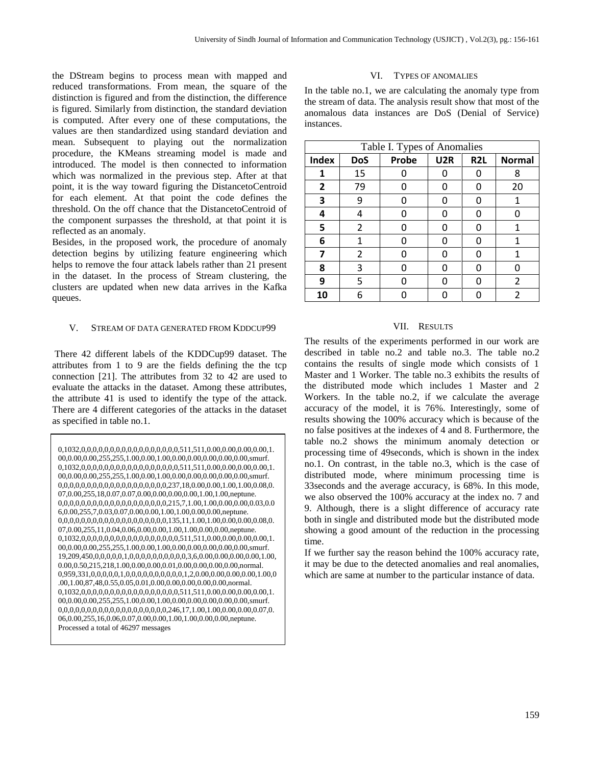the DStream begins to process mean with mapped and reduced transformations. From mean, the square of the distinction is figured and from the distinction, the difference is figured. Similarly from distinction, the standard deviation is computed. After every one of these computations, the values are then standardized using standard deviation and mean. Subsequent to playing out the normalization procedure, the KMeans streaming model is made and introduced. The model is then connected to information which was normalized in the previous step. After at that point, it is the way toward figuring the DistancetoCentroid for each element. At that point the code defines the threshold. On the off chance that the DistancetoCentroid of the component surpasses the threshold, at that point it is reflected as an anomaly.

Besides, in the proposed work, the procedure of anomaly detection begins by utilizing feature engineering which helps to remove the four attack labels rather than 21 present in the dataset. In the process of Stream clustering, the clusters are updated when new data arrives in the Kafka queues.

# V. STREAM OF DATA GENERATED FROM KDDCUP99

There 42 different labels of the KDDCup99 dataset. The attributes from 1 to 9 are the fields defining the the tcp connection [21]. The attributes from 32 to 42 are used to evaluate the attacks in the dataset. Among these attributes, the attribute 41 is used to identify the type of the attack. There are 4 different categories of the attacks in the dataset as specified in table no.1.

```
0,1032,0,0,0,0,0,0,0,0,0,0,0,0,0,0,0,0,0,511,511,0.00,0.00,0.00,0.00,1.
00,\!0.00,\!0.00,\!255,\!255,\!1.00,\!0.00,\!1.00,\!0.00,\!0.00,\!0.00,\!0.00,\!0.00,\!smurf.0,1032,0,0,0,0,0,0,0,0,0,0,0,0,0,0,0,0,0,511,511,0.00,0.00,0.00,0.00,1.
00,0.00,0.00,255,255,1.00,0.00,1.00,0.00,0.00,0.00,0.00,0.00,smurf.
0,0,0,0,0,0,0,0,0,0,0,0,0,0,0,0,0,0,0,237,18,0.00,0.00,1.00,1.00,0.08,0.
07,0.00,255,18,0.07,0.07,0.00,0.00,0.00,0.00,1.00,1.00,neptune.
0,0,0,0,0,0,0,0,0,0,0,0,0,0,0,0,0,0,0,215,7,1.00,1.00,0.00,0.00,0.03,0.0
6,0.00,255,7,0.03,0.07,0.00,0.00,1.00,1.00,0.00,0.00,neptune.
0,0,0,0,0,0,0,0,0,0,0,0,0,0,0,0,0,0,0,135,11,1.00,1.00,0.00,0.00,0.08,0.
07,0.00,255,11,0.04,0.06,0.00,0.00,1.00,1.00,0.00,0.00,neptune.
0,1032,0,0,0,0,0,0,0,0,0,0,0,0,0,0,0,0,0,511,511,0.00,0.00,0.00,0.00,1.
00,0.00,0.00,255,255,1.00,0.00,1.00,0.00,0.00,0.00,0.00,0.00,smurf.
19,209,450,0,0,0,0,0,1,0,0,0,0,0,0,0,0,0,0,3,6,0.00,0.00,0.00,0.00,1.00,
0.00,0.50,215,218,1.00,0.00,0.00,0.01,0.00,0.00,0.00,0.00,normal.
0,959,331,0,0,0,0,0,1,0,0,0,0,0,0,0,0,0,0,1,2,0.00,0.00,0.00,0.00,1.00,0
.00,1.00,87,48,0.55,0.05,0.01,0.00,0.00,0.00,0.00,0.00,normal.
0,1032,0,0,0,0,0,0,0,0,0,0,0,0,0,0,0,0,0,511,511,0.00,0.00,0.00,0.00,1.
00,0,00,0.00,255,255,1.00,0,00,1.00,0,00,0,00,0,00,0,00,00,00,00,smurf.
0,0,0,0,0,0,0,0,0,0,0,0,0,0,0,0,0,0,0,246,17,1.00,1.00,0.00,0.00,0.07,0.
06,0.00,255,16,0.06,0.07,0.00,0.00,1.00,1.00,0.00,0.00,neptune.
Processed a total of 46297 messages
```
### VI. TYPES OF ANOMALIES

In the table no.1, we are calculating the anomaly type from the stream of data. The analysis result show that most of the anomalous data instances are DoS (Denial of Service) instances.

| Table I. Types of Anomalies |            |       |                 |                  |                |  |  |  |
|-----------------------------|------------|-------|-----------------|------------------|----------------|--|--|--|
| <b>Index</b>                | <b>DoS</b> | Probe | U <sub>2R</sub> | R <sub>2</sub> L | <b>Normal</b>  |  |  |  |
| 1                           | 15         |       |                 | O                | 8              |  |  |  |
| $\mathbf{2}$                | 79         | O     |                 | O                | 20             |  |  |  |
| 3                           | 9          | Ω     |                 | O                | 1              |  |  |  |
| 4                           | 4          | 0     |                 | O                |                |  |  |  |
| 5                           | 2          | O     |                 | O                | 1              |  |  |  |
| 6                           | 1          | O     |                 | O                | 1              |  |  |  |
| 7                           | 2          | n     | n               | n                | 1              |  |  |  |
| 8                           | 3          | n     | n               | n                | n              |  |  |  |
| 9                           | 5          | n     |                 | O                | $\overline{2}$ |  |  |  |
| 10                          | 6          |       |                 |                  | 2              |  |  |  |

# VII. RESULTS

The results of the experiments performed in our work are described in table no.2 and table no.3. The table no.2 contains the results of single mode which consists of 1 Master and 1 Worker. The table no.3 exhibits the results of the distributed mode which includes 1 Master and 2 Workers. In the table no.2, if we calculate the average accuracy of the model, it is 76%. Interestingly, some of results showing the 100% accuracy which is because of the no false positives at the indexes of 4 and 8. Furthermore, the table no.2 shows the minimum anomaly detection or processing time of 49seconds, which is shown in the index no.1. On contrast, in the table no.3, which is the case of distributed mode, where minimum processing time is 33seconds and the average accuracy, is 68%. In this mode, we also observed the 100% accuracy at the index no. 7 and 9. Although, there is a slight difference of accuracy rate both in single and distributed mode but the distributed mode showing a good amount of the reduction in the processing time.

If we further say the reason behind the 100% accuracy rate, it may be due to the detected anomalies and real anomalies, which are same at number to the particular instance of data.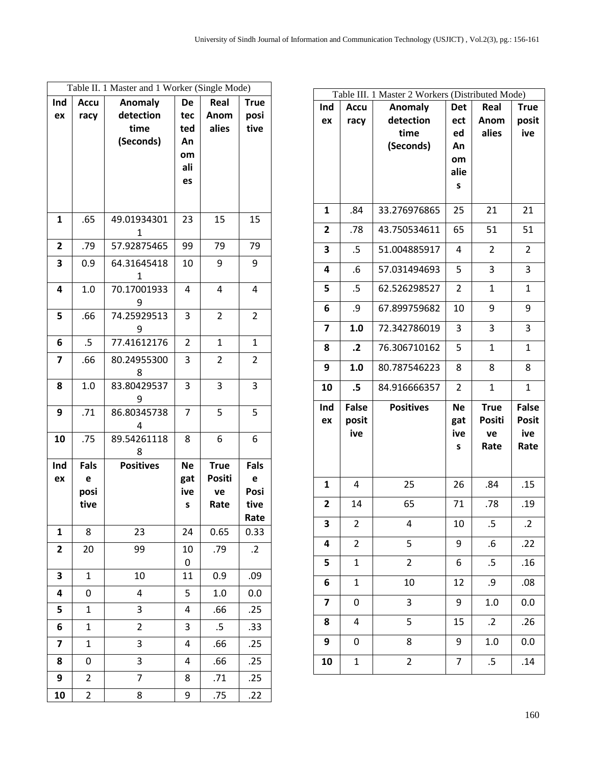| Table II. 1 Master and 1 Worker (Single Mode) |                     |                                                  |                                     |                       |                             |  |
|-----------------------------------------------|---------------------|--------------------------------------------------|-------------------------------------|-----------------------|-----------------------------|--|
| Ind<br>ex                                     | <b>Accu</b><br>racy | <b>Anomaly</b><br>detection<br>time<br>(Seconds) | <b>De</b><br>tec<br>ted<br>An<br>om | Real<br>Anom<br>alies | <b>True</b><br>posi<br>tive |  |
|                                               |                     |                                                  | ali<br>es                           |                       |                             |  |
| 1                                             | .65                 | 49.01934301<br>1                                 | 23                                  | 15                    | 15                          |  |
| $\overline{2}$                                | .79                 | 57.92875465                                      | 99                                  | 79                    | 79                          |  |
| 3                                             | 0.9                 | 64.31645418<br>1                                 | 10                                  | 9                     | 9                           |  |
| 4                                             | 1.0                 | 70.17001933<br>9                                 | 4                                   | 4                     | 4                           |  |
| 5                                             | .66                 | 74.25929513<br>9                                 | 3                                   | 2                     | 2                           |  |
| 6                                             | .5                  | 77.41612176                                      | 2                                   | $\mathbf{1}$          | 1                           |  |
| $\overline{7}$                                | .66                 | 80.24955300<br>8                                 | 3                                   | $\overline{2}$        | $\overline{2}$              |  |
| 8                                             | 1.0                 | 83.80429537<br>9                                 | 3                                   | 3                     | 3                           |  |
| 9                                             | .71                 | 86.80345738<br>4                                 | $\overline{7}$                      | 5                     | 5                           |  |
| 10                                            | .75                 | 89.54261118<br>8                                 | 8                                   | 6                     | 6                           |  |
| Ind                                           | Fals                | <b>Positives</b>                                 | <b>Ne</b>                           | <b>True</b>           | Fals                        |  |
| ex                                            | e<br>posi           |                                                  | gat<br>ive                          | Positi<br>ve          | e<br>Posi                   |  |
|                                               | tive                |                                                  | S                                   | Rate                  | tive<br>Rate                |  |
| 1                                             | 8                   | 23                                               | 24                                  | 0.65                  | 0.33                        |  |
| 2                                             | 20                  | 99                                               | 10<br>0                             | .79                   | $\cdot$ .2                  |  |
| 3                                             | $\mathbf{1}$        | 10                                               | 11                                  | 0.9                   | .09                         |  |
| 4                                             | 0                   | 4                                                | 5                                   | 1.0                   | 0.0                         |  |
| 5                                             | 1                   | 3                                                | 4                                   | .66                   | .25                         |  |
| 6                                             | $\mathbf 1$         | $\overline{2}$                                   | 3                                   | $.5\,$                | .33                         |  |
| 7                                             | $\mathbf{1}$        | 3                                                | 4                                   | .66                   | .25                         |  |
| 8                                             | 0                   | 3                                                | 4                                   | .66                   | .25                         |  |
| 9                                             | 2                   | 7                                                | 8                                   | .71                   | .25                         |  |
| 10                                            | 2                   | 8                                                | 9                                   | .75                   | .22                         |  |

| Table III. 1 Master 2 Workers (Distributed Mode) |              |                  |                |              |              |  |  |
|--------------------------------------------------|--------------|------------------|----------------|--------------|--------------|--|--|
| Ind                                              | <b>Accu</b>  | Anomaly          | <b>Det</b>     | Real         | <b>True</b>  |  |  |
| ex                                               | racy         | detection        | ect            | Anom         | posit        |  |  |
|                                                  |              | time             | ed             | alies        | ive          |  |  |
|                                                  |              | (Seconds)        | An             |              |              |  |  |
|                                                  |              |                  | om             |              |              |  |  |
|                                                  |              |                  | alie           |              |              |  |  |
|                                                  |              |                  | S              |              |              |  |  |
| 1                                                | .84          | 33.276976865     | 25             | 21           | 21           |  |  |
| $\overline{2}$                                   | .78          | 43.750534611     | 65             | 51           | 51           |  |  |
| 3                                                | .5           | 51.004885917     | 4              | 2            | 2            |  |  |
| 4                                                | .6           | 57.031494693     | 5              | 3            | 3            |  |  |
| 5                                                | .5           | 62.526298527     | $\overline{2}$ | 1            | 1            |  |  |
| 6                                                | .9           | 67.899759682     | 10             | 9            | 9            |  |  |
| 7                                                | 1.0          | 72.342786019     | 3              | 3            | 3            |  |  |
| 8                                                | $\cdot$ .2   | 76.306710162     | 5              | $\mathbf{1}$ | $\mathbf{1}$ |  |  |
| 9                                                | 1.0          | 80.787546223     | 8              | 8            | 8            |  |  |
| 10                                               | $.5\,$       | 84.916666357     | $\overline{2}$ | $\mathbf{1}$ | $\mathbf{1}$ |  |  |
| Ind                                              | <b>False</b> | <b>Positives</b> | <b>Ne</b>      | <b>True</b>  | <b>False</b> |  |  |
| ex                                               | posit        |                  | gat            | Positi       | <b>Posit</b> |  |  |
|                                                  | ive          |                  | ive            | ve           | ive          |  |  |
|                                                  |              |                  | S              | Rate         | Rate         |  |  |
|                                                  |              |                  |                |              |              |  |  |
| $\mathbf{1}$                                     | 4            | 25               | 26             | .84          | .15          |  |  |
| $\overline{2}$                                   | 14           | 65               | 71             | .78          | .19          |  |  |
| З                                                | 2            | 4                | 10             | .5           | $\cdot$      |  |  |
| 4                                                | 2            | 5                | 9              | $6.5\,$      | .22          |  |  |
| 5                                                | 1            | $\overline{c}$   | 6              | .5           | .16          |  |  |
| 6                                                | $\mathbf 1$  | 10               | 12             | .9           | .08          |  |  |
| 7                                                | 0            | 3                | 9              | 1.0          | 0.0          |  |  |
| 8                                                | 4            | 5                | 15             | $\cdot$      | .26          |  |  |
| 9                                                | 0            | 8                | 9              | $1.0\,$      | 0.0          |  |  |
| 10                                               | $\mathbf 1$  | $\overline{c}$   | 7              | $.5\,$       | .14          |  |  |